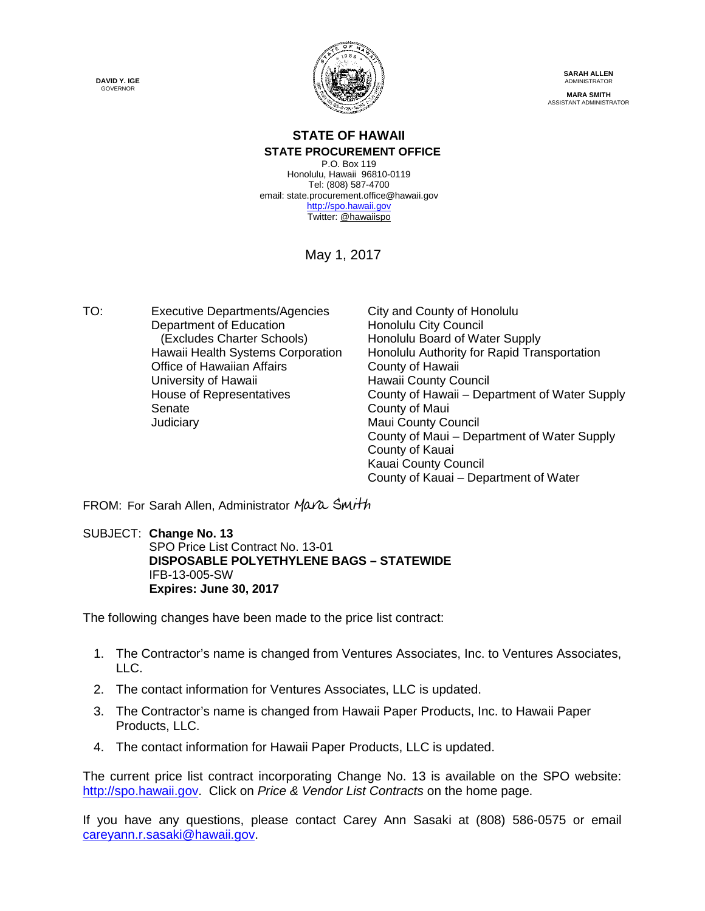**DAVID Y. IGE** GOVERNOR



**SARAH ALLEN** ADMINISTRATOR **MARA SMITH** ASSISTANT ADMINISTRATOR

## **STATE OF HAWAII STATE PROCUREMENT OFFICE**

P.O. Box 119 Honolulu, Hawaii 96810-0119 Tel: (808) 587-4700 email: state.procurement.office@hawaii.gov [http://spo.hawaii.gov](http://spo.hawaii.gov/) Twitter[: @hawaiispo](https://twitter.com/hawaiispo)

May 1, 2017

TO: Executive Departments/Agencies City and County of Honolulu Department of Education<br>
(Excludes Charter Schools) Honolulu Board of Wa Office of Hawaiian Affairs<br>
University of Hawaii<br>
Hawaii County Co Senate County of Maui **Judiciary Maui County Council** 

Honolulu Board of Water Supply Hawaii Health Systems Corporation Honolulu Authority for Rapid Transportation Hawaii County Council House of Representatives County of Hawaii – Department of Water Supply County of Maui – Department of Water Supply County of Kauai Kauai County Council County of Kauai – Department of Water

FROM: For Sarah Allen, Administrator [Mara Smith](https://stateofhawaii.na1.echosign.com/verifier?tx=CBJCHBCAABAA7Ox7E6c_594Ssis-tExVE4aTu-o70spu)

SUBJECT: **Change No. 13** SPO Price List Contract No. 13-01 **DISPOSABLE POLYETHYLENE BAGS – STATEWIDE**  IFB-13-005-SW **Expires: June 30, 2017**

The following changes have been made to the price list contract:

- 1. The Contractor's name is changed from Ventures Associates, Inc. to Ventures Associates, LLC.
- 2. The contact information for Ventures Associates, LLC is updated.
- 3. The Contractor's name is changed from Hawaii Paper Products, Inc. to Hawaii Paper Products, LLC.
- 4. The contact information for Hawaii Paper Products, LLC is updated.

The current price list contract incorporating Change No. 13 is available on the SPO website: [http://spo.hawaii.gov.](http://spo.hawaii.gov/) Click on *Price & Vendor List Contracts* on the home page.

If you have any questions, please contact Carey Ann Sasaki at (808) 586-0575 or email [careyann.r.sasaki@hawaii.gov.](mailto:careyann.r.sasaki@hawaii.gov)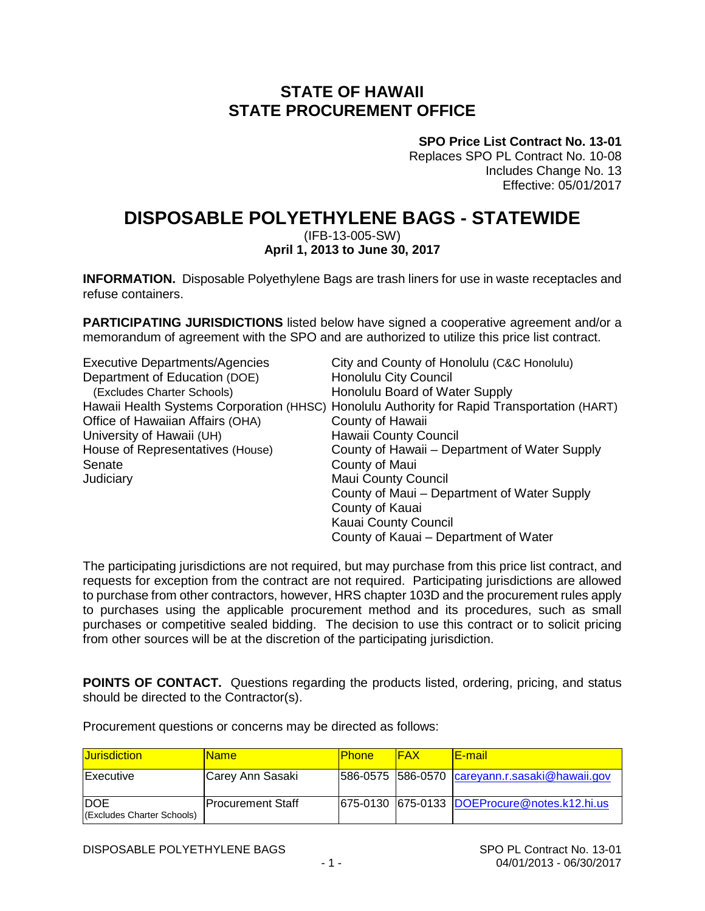# **STATE OF HAWAII STATE PROCUREMENT OFFICE**

**SPO Price List Contract No. 13-01**

Replaces SPO PL Contract No. 10-08 Includes Change No. 13 Effective: 05/01/2017

# **DISPOSABLE POLYETHYLENE BAGS - STATEWIDE**

(IFB-13-005-SW)

## **April 1, 2013 to June 30, 2017**

**INFORMATION.** Disposable Polyethylene Bags are trash liners for use in waste receptacles and refuse containers.

**PARTICIPATING JURISDICTIONS** listed below have signed a cooperative agreement and/or a memorandum of agreement with the SPO and are authorized to utilize this price list contract.

| <b>Executive Departments/Agencies</b> | City and County of Honolulu (C&C Honolulu)                                                  |
|---------------------------------------|---------------------------------------------------------------------------------------------|
| Department of Education (DOE)         | Honolulu City Council                                                                       |
| (Excludes Charter Schools)            | Honolulu Board of Water Supply                                                              |
|                                       | Hawaii Health Systems Corporation (HHSC) Honolulu Authority for Rapid Transportation (HART) |
| Office of Hawaiian Affairs (OHA)      | County of Hawaii                                                                            |
| University of Hawaii (UH)             | Hawaii County Council                                                                       |
| House of Representatives (House)      | County of Hawaii – Department of Water Supply                                               |
| Senate                                | County of Maui                                                                              |
| Judiciary                             | <b>Maui County Council</b>                                                                  |
|                                       | County of Maui – Department of Water Supply                                                 |
|                                       | County of Kauai                                                                             |
|                                       | Kauai County Council                                                                        |
|                                       | County of Kauai – Department of Water                                                       |

The participating jurisdictions are not required, but may purchase from this price list contract, and requests for exception from the contract are not required. Participating jurisdictions are allowed to purchase from other contractors, however, HRS chapter 103D and the procurement rules apply to purchases using the applicable procurement method and its procedures, such as small purchases or competitive sealed bidding. The decision to use this contract or to solicit pricing from other sources will be at the discretion of the participating jurisdiction.

**POINTS OF CONTACT.** Questions regarding the products listed, ordering, pricing, and status should be directed to the Contractor(s).

Procurement questions or concerns may be directed as follows:

| <b>Jurisdiction</b>                      | <u>IName</u>              | <b>Phone</b> | <b>IFAX</b> | <u>IE-mail</u>                                 |
|------------------------------------------|---------------------------|--------------|-------------|------------------------------------------------|
| <b>Executive</b>                         | Carey Ann Sasaki          |              |             | 586-0575 586-0570 careyann.r.sasaki@hawaii.gov |
| <b>DOE</b><br>(Excludes Charter Schools) | <b>IProcurement Staff</b> |              |             | 675-0130 675-0133 DOEProcure@notes.k12.hi.us   |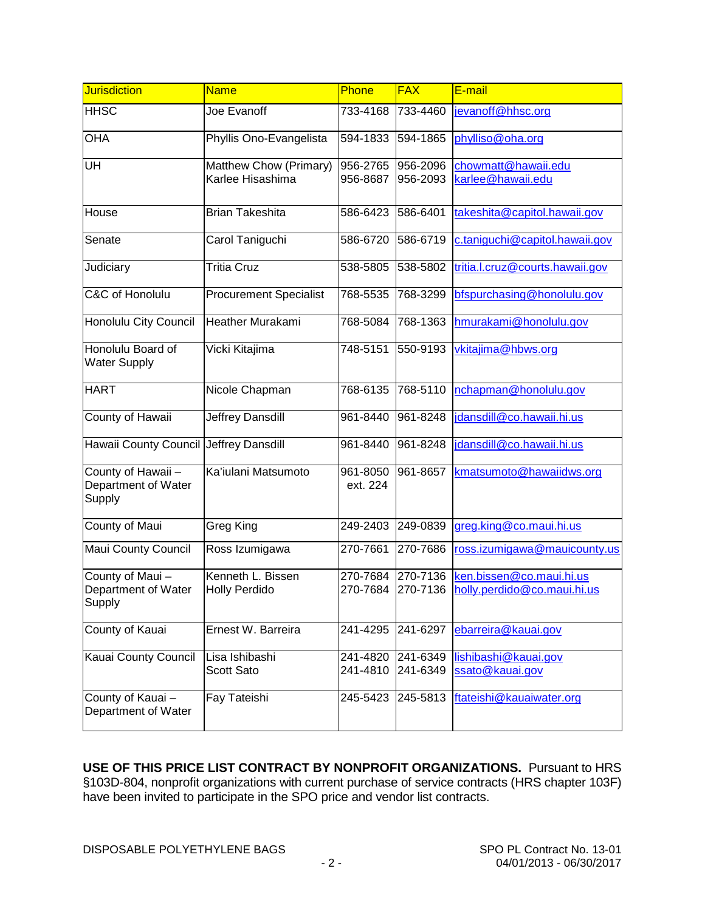| <b>Jurisdiction</b>                                | <b>Name</b>                                | Phone                | <b>FAX</b>           | E-mail                                                  |
|----------------------------------------------------|--------------------------------------------|----------------------|----------------------|---------------------------------------------------------|
| <b>HHSC</b>                                        | Joe Evanoff                                | 733-4168             | 733-4460             | jevanoff@hhsc.org                                       |
| <b>OHA</b>                                         | Phyllis Ono-Evangelista                    | 594-1833             | 594-1865             | phylliso@oha.org                                        |
| UH                                                 | Matthew Chow (Primary)<br>Karlee Hisashima | 956-2765<br>956-8687 | 956-2096<br>956-2093 | chowmatt@hawaii.edu<br>karlee@hawaii.edu                |
| House                                              | <b>Brian Takeshita</b>                     | 586-6423             | 586-6401             | takeshita@capitol.hawaii.gov                            |
| Senate                                             | Carol Taniguchi                            | 586-6720             | 586-6719             | c.taniguchi@capitol.hawaii.gov                          |
| Judiciary                                          | <b>Tritia Cruz</b>                         | 538-5805             | 538-5802             | tritia.l.cruz@courts.hawaii.gov                         |
| C&C of Honolulu                                    | <b>Procurement Specialist</b>              | 768-5535             | 768-3299             | bfspurchasing@honolulu.gov                              |
| Honolulu City Council                              | <b>Heather Murakami</b>                    | 768-5084             | 768-1363             | hmurakami@honolulu.gov                                  |
| Honolulu Board of<br><b>Water Supply</b>           | Vicki Kitajima                             | 748-5151             | 550-9193             | vkitajima@hbws.org                                      |
| <b>HART</b>                                        | Nicole Chapman                             | 768-6135             | 768-5110             | nchapman@honolulu.gov                                   |
| County of Hawaii                                   | Jeffrey Dansdill                           | 961-8440             | 961-8248             | jdansdill@co.hawaii.hi.us                               |
| Hawaii County Council Jeffrey Dansdill             |                                            | 961-8440             | 961-8248             | jdansdill@co.hawaii.hi.us                               |
| County of Hawaii-<br>Department of Water<br>Supply | Ka'iulani Matsumoto                        | 961-8050<br>ext. 224 | 961-8657             | kmatsumoto@hawaiidws.org                                |
| County of Maui                                     | Greg King                                  | 249-2403             | 249-0839             | greg.king@co.maui.hi.us                                 |
| Maui County Council                                | Ross Izumigawa                             | 270-7661             | 270-7686             | ross.izumigawa@mauicounty.us                            |
| County of Maui-<br>Department of Water<br>Supply   | Kenneth L. Bissen<br><b>Holly Perdido</b>  | 270-7684<br>270-7684 | 270-7136<br>270-7136 | ken.bissen@co.maui.hi.us<br>holly.perdido@co.maui.hi.us |
| County of Kauai                                    | Ernest W. Barreira                         | 241-4295             | 241-6297             | ebarreira@kauai.gov                                     |
| <b>Kauai County Council</b>                        | Lisa Ishibashi<br>Scott Sato               | 241-4820<br>241-4810 | 241-6349<br>241-6349 | lishibashi@kauai.gov<br>ssato@kauai.gov                 |
| County of Kauai-<br>Department of Water            | Fay Tateishi                               | 245-5423             | 245-5813             | ftateishi@kauaiwater.org                                |

**USE OF THIS PRICE LIST CONTRACT BY NONPROFIT ORGANIZATIONS.** Pursuant to HRS §103D-804, nonprofit organizations with current purchase of service contracts (HRS chapter 103F) have been invited to participate in the SPO price and vendor list contracts.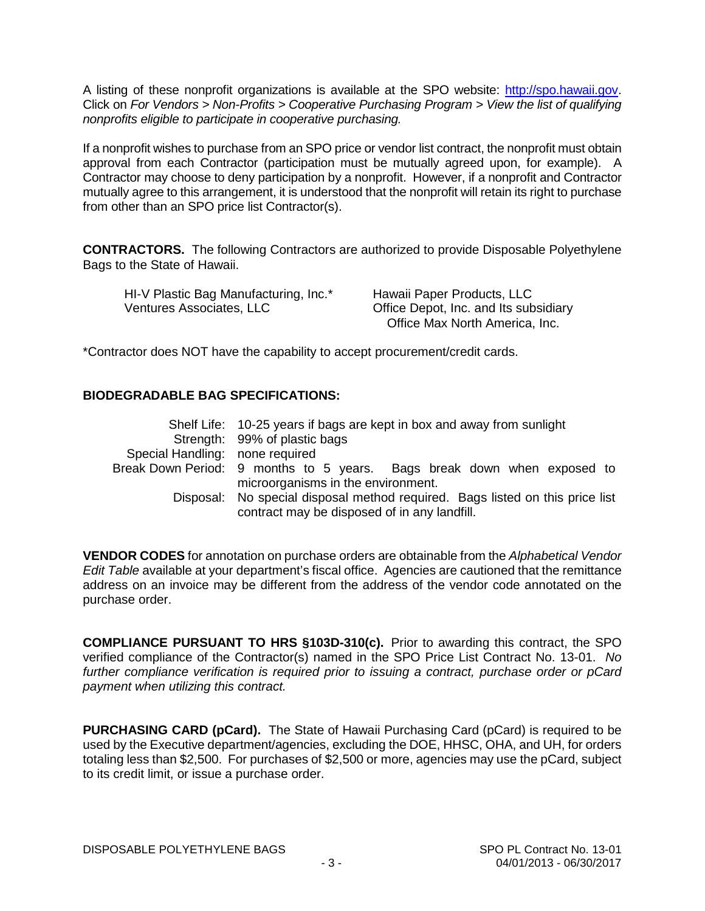A listing of these nonprofit organizations is available at the SPO website: [http://spo.hawaii.gov.](http://spo.hawaii.gov/) Click on *For Vendors > Non-Profits > Cooperative Purchasing Program > View the list of qualifying nonprofits eligible to participate in cooperative purchasing.*

If a nonprofit wishes to purchase from an SPO price or vendor list contract, the nonprofit must obtain approval from each Contractor (participation must be mutually agreed upon, for example). A Contractor may choose to deny participation by a nonprofit. However, if a nonprofit and Contractor mutually agree to this arrangement, it is understood that the nonprofit will retain its right to purchase from other than an SPO price list Contractor(s).

**CONTRACTORS.** The following Contractors are authorized to provide Disposable Polyethylene Bags to the State of Hawaii.

| HI-V Plastic Bag Manufacturing, Inc.* | Hawaii Paper Products, LLC            |
|---------------------------------------|---------------------------------------|
| Ventures Associates, LLC              | Office Depot, Inc. and Its subsidiary |
|                                       | Office Max North America, Inc.        |

\*Contractor does NOT have the capability to accept procurement/credit cards.

## **BIODEGRADABLE BAG SPECIFICATIONS:**

|                                 | Shelf Life: 10-25 years if bags are kept in box and away from sunlight                                                        |  |  |  |  |  |
|---------------------------------|-------------------------------------------------------------------------------------------------------------------------------|--|--|--|--|--|
|                                 | Strength: 99% of plastic bags                                                                                                 |  |  |  |  |  |
| Special Handling: none required |                                                                                                                               |  |  |  |  |  |
|                                 | Break Down Period: 9 months to 5 years. Bags break down when exposed to                                                       |  |  |  |  |  |
|                                 | microorganisms in the environment.                                                                                            |  |  |  |  |  |
|                                 | Disposal: No special disposal method required. Bags listed on this price list<br>contract may be disposed of in any landfill. |  |  |  |  |  |

**VENDOR CODES** for annotation on purchase orders are obtainable from the *Alphabetical Vendor Edit Table* available at your department's fiscal office. Agencies are cautioned that the remittance address on an invoice may be different from the address of the vendor code annotated on the purchase order.

**COMPLIANCE PURSUANT TO HRS §103D-310(c).** Prior to awarding this contract, the SPO verified compliance of the Contractor(s) named in the SPO Price List Contract No. 13-01. *No further compliance verification is required prior to issuing a contract, purchase order or pCard payment when utilizing this contract.*

**PURCHASING CARD (pCard).** The State of Hawaii Purchasing Card (pCard) is required to be used by the Executive department/agencies, excluding the DOE, HHSC, OHA, and UH, for orders totaling less than \$2,500. For purchases of \$2,500 or more, agencies may use the pCard, subject to its credit limit, or issue a purchase order.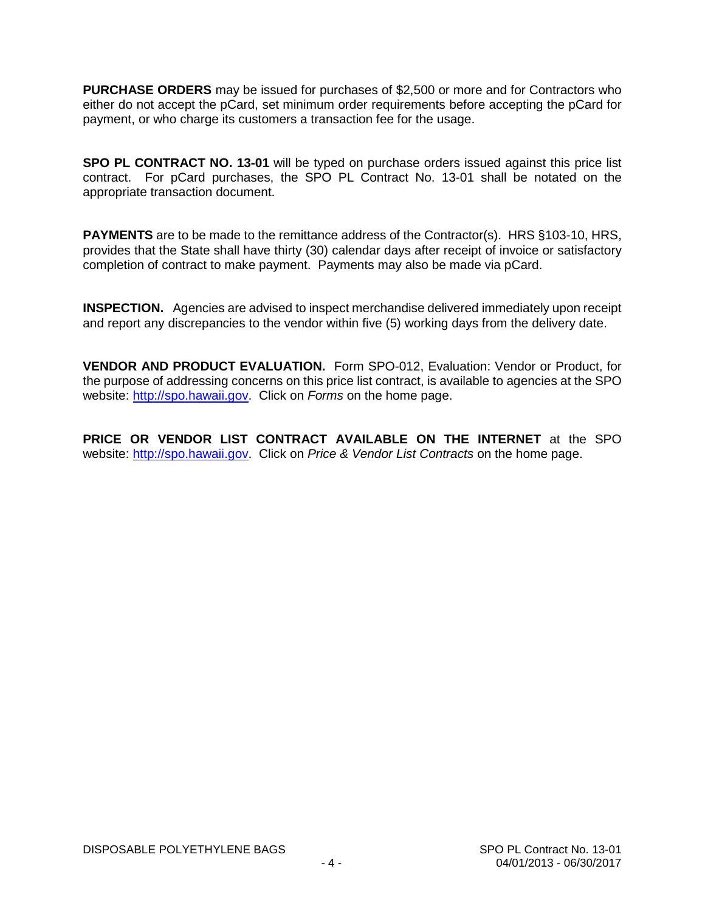**PURCHASE ORDERS** may be issued for purchases of \$2,500 or more and for Contractors who either do not accept the pCard, set minimum order requirements before accepting the pCard for payment, or who charge its customers a transaction fee for the usage.

**SPO PL CONTRACT NO. 13-01** will be typed on purchase orders issued against this price list contract. For pCard purchases, the SPO PL Contract No. 13-01 shall be notated on the appropriate transaction document.

**PAYMENTS** are to be made to the remittance address of the Contractor(s). HRS §103-10, HRS, provides that the State shall have thirty (30) calendar days after receipt of invoice or satisfactory completion of contract to make payment. Payments may also be made via pCard.

**INSPECTION.** Agencies are advised to inspect merchandise delivered immediately upon receipt and report any discrepancies to the vendor within five (5) working days from the delivery date.

**VENDOR AND PRODUCT EVALUATION.** Form SPO-012, Evaluation: Vendor or Product, for the purpose of addressing concerns on this price list contract, is available to agencies at the SPO website: [http://spo.hawaii.gov.](http://spo.hawaii.gov/) Click on *Forms* on the home page.

**PRICE OR VENDOR LIST CONTRACT AVAILABLE ON THE INTERNET** at the SPO website: [http://spo.hawaii.gov.](http://spo.hawaii.gov/) Click on *Price & Vendor List Contracts* on the home page.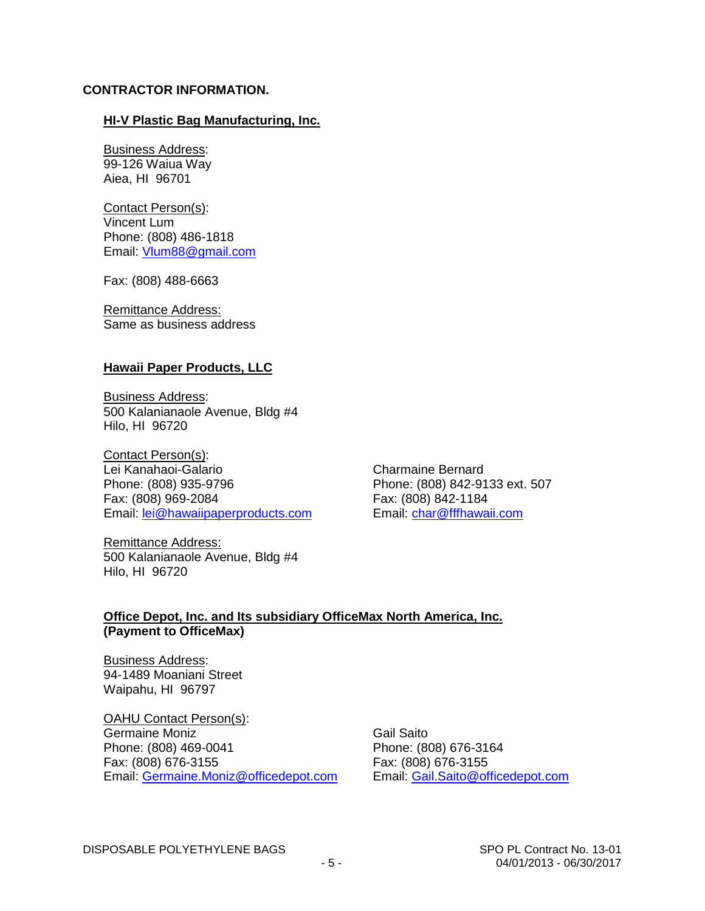### **CONTRACTOR INFORMATION.**

### **HI-V Plastic Bag Manufacturing, Inc.**

Business Address: 99-126 Waiua Way Aiea, HI 96701

Contact Person(s): Vincent Lum Phone: (808) 486-1818 Email: [Vlum88@gmail.com](mailto:Vlum88@gmail.com)

Fax: (808) 488-6663

Remittance Address: Same as business address

### **Hawaii Paper Products, LLC**

Business Address: 500 Kalanianaole Avenue, Bldg #4 Hilo, HI 96720

Contact Person(s): Lei Kanahaoi-Galario **Charmaine Bernard** Phone: (808) 935-9796 Phone: (808) 842-9133 ext. 507 Fax: (808) 969-2084<br>Email: lei@hawaiipaperproducts.com Email: char@fffhawaii.com Email: [lei@hawaiipaperproducts.com](mailto:lei@hawaiipaperproducts.com)

Remittance Address: 500 Kalanianaole Avenue, Bldg #4 Hilo, HI 96720

## **Office Depot, Inc. and Its subsidiary OfficeMax North America, Inc. (Payment to OfficeMax)**

Business Address: 94-1489 Moaniani Street Waipahu, HI 96797

OAHU Contact Person(s): Germaine Moniz **Gail Saito** Phone: (808) 469-0041 Phone: (808) 676-3164 Fax: (808) 676-3155 Fax: (808) 676-3155 Email: [Germaine.Moniz@officedepot.com](mailto:Germaine.Moniz@officedepot.com)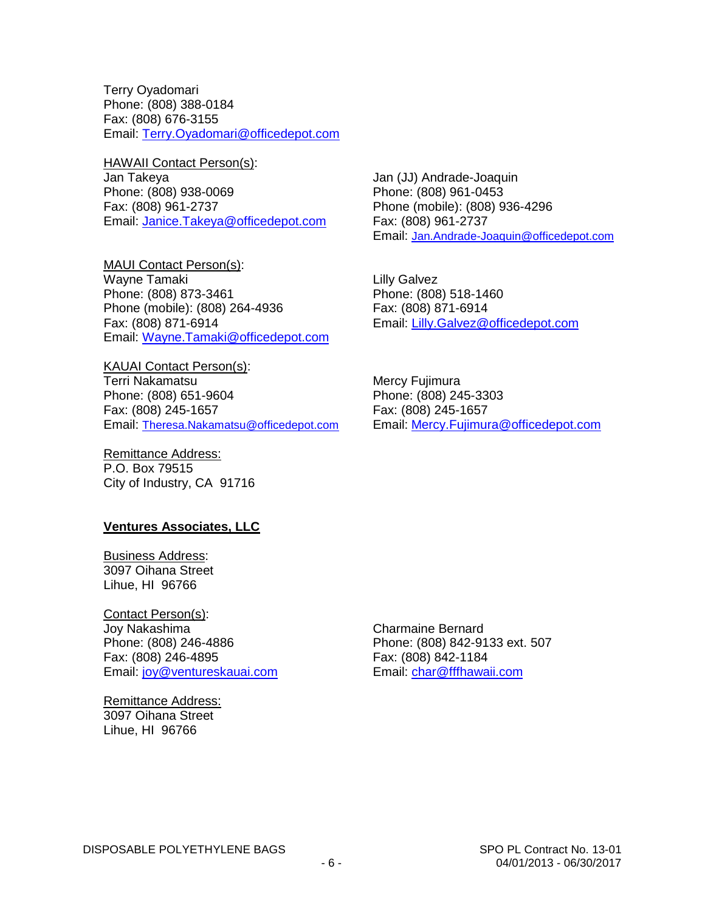Terry Oyadomari Phone: (808) 388-0184 Fax: (808) 676-3155 Email: [Terry.Oyadomari@officedepot.com](mailto:Terry.Oyadomari@officedepot.com)

**HAWAII Contact Person(s):** Jan Takeya Jan (JJ) Andrade-Joaquin Phone: (808) 938-0069 Phone: (808) 961-0453 Email: [Janice.Takeya@officedepot.com](mailto:Janice.Takeya@officedepot.com)

MAUI Contact Person(s): Wayne Tamaki **Lilly Galvez** Phone: (808) 873-3461 Phone: (808) 518-1460 Phone (mobile): (808) 264-4936 Fax: (808) 871-6914 Fax: (808) 871-6914 Email: [Lilly.Galvez@officedepot.com](mailto:Lilly.Galvez@officedepot.com) Email: [Wayne.Tamaki@officedepot.com](mailto:Wayne.Tamaki@officedepot.com)

KAUAI Contact Person(s): Terri Nakamatsu **Mercy Fujimura** Phone: (808) 651-9604 Phone: (808) 245-3303 Fax: (808) 245-1657<br>Email: Theresa.Nakamatsu@officedepot.com Email: Mercy.Fujimura@officedepot.com Email: [Theresa.Nakamatsu@officedepot.com](mailto:Theresa.Nakamatsu@officedepot.com)

Remittance Address: P.O. Box 79515 City of Industry, CA 91716

#### **Ventures Associates, LLC**

Business Address: 3097 Oihana Street Lihue, HI 96766

Contact Person(s): Joy Nakashima Charmaine Bernard Fax: (808) 246-4895 Fax: (808) 842-1184 Email: [joy@ventureskauai.com](mailto:joy@ventureskauai.com) Email: [char@fffhawaii.com](mailto:char@fffhawaii.com)

Remittance Address: 3097 Oihana Street Lihue, HI 96766

Phone (mobile): (808) 936-4296<br>Fax: (808) 961-2737 Email: [Jan.Andrade-Joaquin@officedepot.com](mailto:Jan.Andrade-Joaquin@officedepot.com)

Phone: (808) 842-9133 ext. 507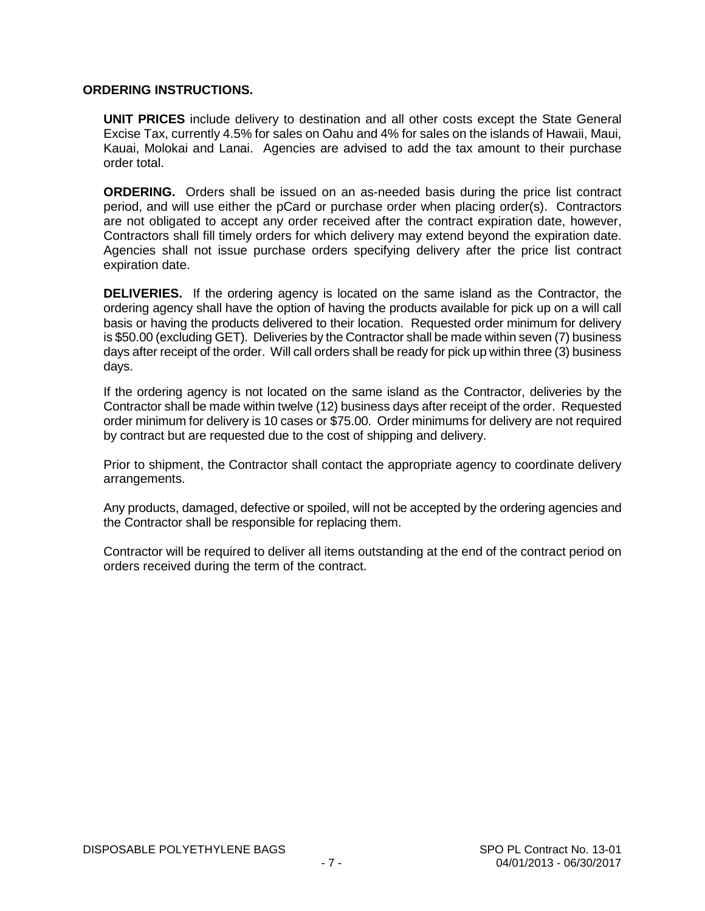### **ORDERING INSTRUCTIONS.**

**UNIT PRICES** include delivery to destination and all other costs except the State General Excise Tax, currently 4.5% for sales on Oahu and 4% for sales on the islands of Hawaii, Maui, Kauai, Molokai and Lanai. Agencies are advised to add the tax amount to their purchase order total.

**ORDERING.** Orders shall be issued on an as-needed basis during the price list contract period, and will use either the pCard or purchase order when placing order(s). Contractors are not obligated to accept any order received after the contract expiration date, however, Contractors shall fill timely orders for which delivery may extend beyond the expiration date. Agencies shall not issue purchase orders specifying delivery after the price list contract expiration date.

**DELIVERIES.** If the ordering agency is located on the same island as the Contractor, the ordering agency shall have the option of having the products available for pick up on a will call basis or having the products delivered to their location. Requested order minimum for delivery is \$50.00 (excluding GET). Deliveries by the Contractor shall be made within seven (7) business days after receipt of the order. Will call orders shall be ready for pick up within three (3) business days.

If the ordering agency is not located on the same island as the Contractor, deliveries by the Contractor shall be made within twelve (12) business days after receipt of the order. Requested order minimum for delivery is 10 cases or \$75.00. Order minimums for delivery are not required by contract but are requested due to the cost of shipping and delivery.

Prior to shipment, the Contractor shall contact the appropriate agency to coordinate delivery arrangements.

Any products, damaged, defective or spoiled, will not be accepted by the ordering agencies and the Contractor shall be responsible for replacing them.

Contractor will be required to deliver all items outstanding at the end of the contract period on orders received during the term of the contract.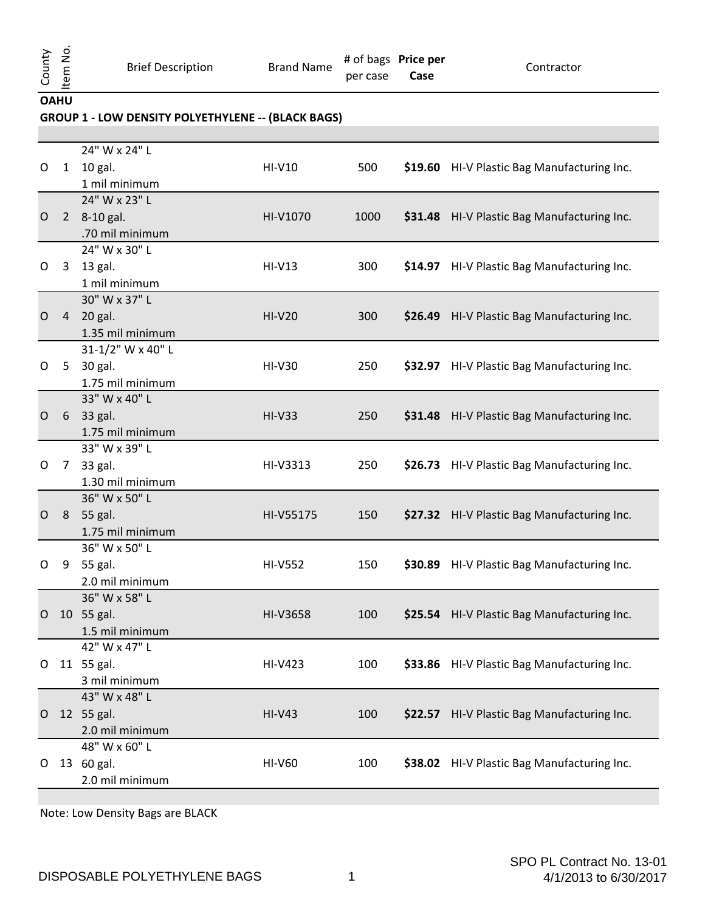per case # of bags **Price per Case**

Contractor

**OAHU**

## **GROUP 1 - LOW DENSITY POLYETHYLENE -- (BLACK BAGS)**

|   |                | 24" W x 24" L     |                |      |                                             |
|---|----------------|-------------------|----------------|------|---------------------------------------------|
| O | $\mathbf{1}$   | 10 gal.           | HI-V10         | 500  | \$19.60 HI-V Plastic Bag Manufacturing Inc. |
|   |                | 1 mil minimum     |                |      |                                             |
|   |                | 24" W x 23" L     |                |      |                                             |
| O |                | 2 8-10 gal.       | HI-V1070       | 1000 | \$31.48 HI-V Plastic Bag Manufacturing Inc. |
|   |                | .70 mil minimum   |                |      |                                             |
|   |                | 24" W x 30" L     |                |      |                                             |
| O | 3              | 13 gal.           | $HI-V13$       | 300  | \$14.97 HI-V Plastic Bag Manufacturing Inc. |
|   |                | 1 mil minimum     |                |      |                                             |
|   |                | 30" W x 37" L     |                |      |                                             |
| O | $\overline{4}$ | 20 gal.           | <b>HI-V20</b>  | 300  | \$26.49 HI-V Plastic Bag Manufacturing Inc. |
|   |                | 1.35 mil minimum  |                |      |                                             |
|   |                | 31-1/2" W x 40" L |                |      |                                             |
| O | 5              | 30 gal.           | $HI-V30$       | 250  | \$32.97 HI-V Plastic Bag Manufacturing Inc. |
|   |                | 1.75 mil minimum  |                |      |                                             |
|   |                | 33" W x 40" L     |                |      |                                             |
| O | 6              | 33 gal.           | $HI-V33$       | 250  | \$31.48 HI-V Plastic Bag Manufacturing Inc. |
|   |                | 1.75 mil minimum  |                |      |                                             |
|   |                | 33" W x 39" L     |                |      |                                             |
| 0 | $7^{\circ}$    | 33 gal.           | HI-V3313       | 250  | \$26.73 HI-V Plastic Bag Manufacturing Inc. |
|   |                | 1.30 mil minimum  |                |      |                                             |
|   |                | 36" W x 50" L     |                |      |                                             |
| O | 8              | 55 gal.           | HI-V55175      | 150  | \$27.32 HI-V Plastic Bag Manufacturing Inc. |
|   |                | 1.75 mil minimum  |                |      |                                             |
|   |                | 36" W x 50" L     |                |      |                                             |
| O | 9              | 55 gal.           | <b>HI-V552</b> | 150  | \$30.89 HI-V Plastic Bag Manufacturing Inc. |
|   |                | 2.0 mil minimum   |                |      |                                             |
|   |                | 36" W x 58" L     |                |      |                                             |
|   |                |                   |                |      |                                             |
| O |                | 10 55 gal.        | HI-V3658       | 100  | \$25.54 HI-V Plastic Bag Manufacturing Inc. |
|   |                | 1.5 mil minimum   |                |      |                                             |
|   |                | 42" W x 47" L     |                |      |                                             |
| 0 |                | 11 55 gal.        | HI-V423        | 100  | \$33.86 HI-V Plastic Bag Manufacturing Inc. |
|   |                | 3 mil minimum     |                |      |                                             |
|   |                | 43" W x 48" L     |                |      |                                             |
| O |                | 12 55 gal.        | $HI-V43$       | 100  | \$22.57 HI-V Plastic Bag Manufacturing Inc. |
|   |                | 2.0 mil minimum   |                |      |                                             |
|   |                | 48" W x 60" L     |                |      |                                             |
| O |                | 13 60 gal.        | <b>HI-V60</b>  | 100  | \$38.02 HI-V Plastic Bag Manufacturing Inc. |
|   |                | 2.0 mil minimum   |                |      |                                             |
|   |                |                   |                |      |                                             |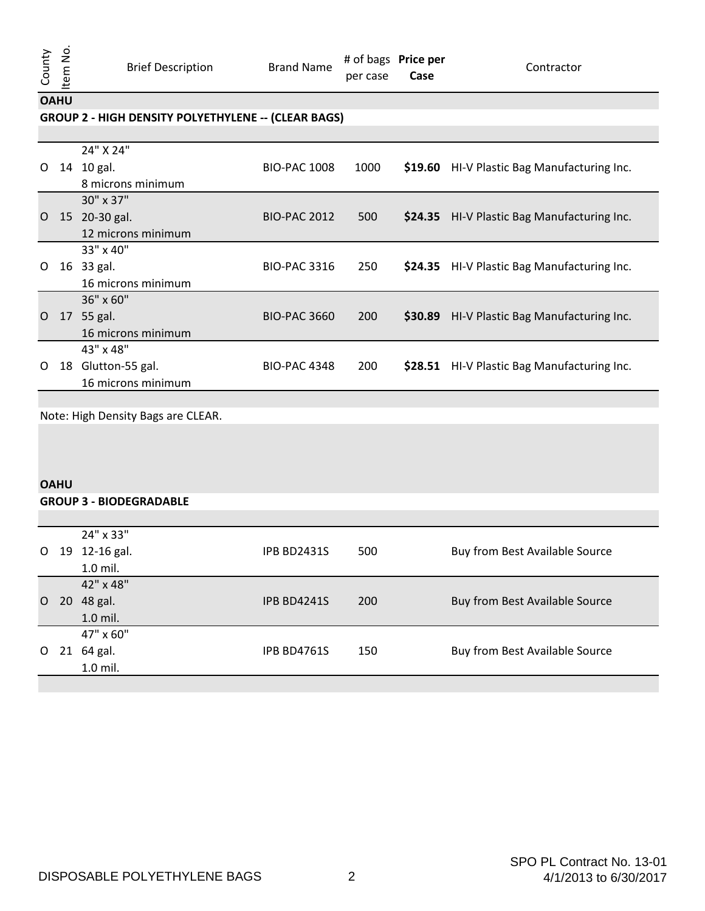per case # of bags **Price per Case**

**Contractor** 

**OAHU**

## **GROUP 2 - HIGH DENSITY POLYETHYLENE -- (CLEAR BAGS)**

|          |    | 24" X 24"          |                     |      |         |                                     |
|----------|----|--------------------|---------------------|------|---------|-------------------------------------|
| $\Omega$ | 14 | 10 gal.            | <b>BIO-PAC 1008</b> | 1000 | \$19.60 | HI-V Plastic Bag Manufacturing Inc. |
|          |    | 8 microns minimum  |                     |      |         |                                     |
|          |    | $30'' \times 37''$ |                     |      |         |                                     |
| $\Omega$ |    | 15 20-30 gal.      | <b>BIO-PAC 2012</b> | 500  | \$24.35 | HI-V Plastic Bag Manufacturing Inc. |
|          |    | 12 microns minimum |                     |      |         |                                     |
|          |    | $33" \times 40"$   |                     |      |         |                                     |
| O        |    | 16 33 gal.         | <b>BIO-PAC 3316</b> | 250  | \$24.35 | HI-V Plastic Bag Manufacturing Inc. |
|          |    | 16 microns minimum |                     |      |         |                                     |
|          |    | $36" \times 60"$   |                     |      |         |                                     |
| $\Omega$ |    | 17 55 gal.         | <b>BIO-PAC 3660</b> | 200  | \$30.89 | HI-V Plastic Bag Manufacturing Inc. |
|          |    | 16 microns minimum |                     |      |         |                                     |
|          |    | $43" \times 48"$   |                     |      |         |                                     |
| O        | 18 | Glutton-55 gal.    | <b>BIO-PAC 4348</b> | 200  | \$28.51 | HI-V Plastic Bag Manufacturing Inc. |
|          |    | 16 microns minimum |                     |      |         |                                     |

Note: High Density Bags are CLEAR.

### **OAHU**

#### **GROUP 3 - BIODEGRADABLE**

|   |                 | 24" x 33"  |                    |     |                                |
|---|-----------------|------------|--------------------|-----|--------------------------------|
| O | 19              | 12-16 gal. | <b>IPB BD2431S</b> | 500 | Buy from Best Available Source |
|   |                 | 1.0 mil.   |                    |     |                                |
|   |                 | 42" x 48"  |                    |     |                                |
| O | 20 <sub>1</sub> | 48 gal.    | IPB BD4241S        | 200 | Buy from Best Available Source |
|   |                 | 1.0 mil.   |                    |     |                                |
|   |                 | 47" x 60"  |                    |     |                                |
| O |                 | 21 64 gal. | <b>IPB BD4761S</b> | 150 | Buy from Best Available Source |
|   |                 | $1.0$ mil. |                    |     |                                |
|   |                 |            |                    |     |                                |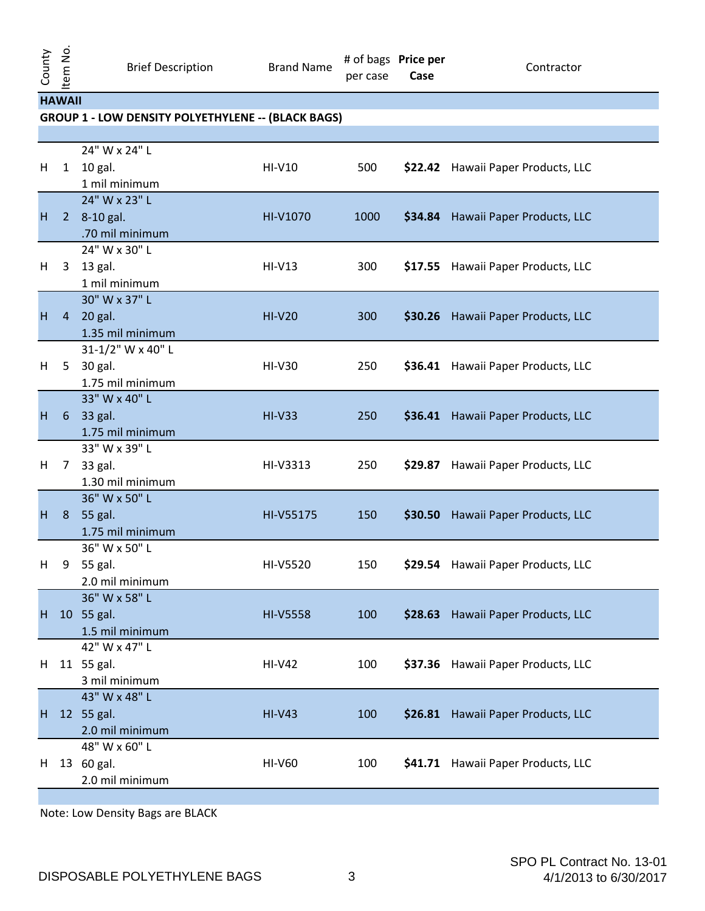| <b>HAWAII</b> |  |
|---------------|--|

## **GROUP 1 - LOW DENSITY POLYETHYLENE -- (BLACK BAGS)**

| н  | $\mathbf{1}$   | 24" W x 24" L<br>10 gal.<br>1 mil minimum          | HI-V10          | 500  |         | \$22.42 Hawaii Paper Products, LLC |
|----|----------------|----------------------------------------------------|-----------------|------|---------|------------------------------------|
| H  | 2 <sup>7</sup> | 24" W x 23" L<br>8-10 gal.<br>.70 mil minimum      | HI-V1070        | 1000 |         | \$34.84 Hawaii Paper Products, LLC |
| H  | $\mathbf{3}$   | 24" W x 30" L<br>13 gal.<br>1 mil minimum          | $HI-V13$        | 300  |         | \$17.55 Hawaii Paper Products, LLC |
| H  | $\overline{4}$ | 30" W x 37" L<br>20 gal.<br>1.35 mil minimum       | <b>HI-V20</b>   | 300  |         | \$30.26 Hawaii Paper Products, LLC |
| H  |                | 31-1/2" W x 40" L<br>5 30 gal.<br>1.75 mil minimum | <b>HI-V30</b>   | 250  |         | \$36.41 Hawaii Paper Products, LLC |
| н  | 6              | 33" W x 40" L<br>33 gal.<br>1.75 mil minimum       | $HI-V33$        | 250  |         | \$36.41 Hawaii Paper Products, LLC |
| H  | 7 <sup>7</sup> | 33" W x 39" L<br>33 gal.<br>1.30 mil minimum       | HI-V3313        | 250  |         | \$29.87 Hawaii Paper Products, LLC |
| H  | 8              | 36" W x 50" L<br>55 gal.<br>1.75 mil minimum       | HI-V55175       | 150  |         | \$30.50 Hawaii Paper Products, LLC |
| н  | 9              | 36" W x 50" L<br>55 gal.<br>2.0 mil minimum        | HI-V5520        | 150  |         | \$29.54 Hawaii Paper Products, LLC |
| H. |                | 36" W x 58" L<br>10 55 gal.<br>1.5 mil minimum     | <b>HI-V5558</b> | 100  | \$28.63 | Hawaii Paper Products, LLC         |
| H. |                | 42" W x 47" L<br>11 55 gal.<br>3 mil minimum       | <b>HI-V42</b>   | 100  |         | \$37.36 Hawaii Paper Products, LLC |
| H  |                | 43" W x 48" L<br>12 55 gal.<br>2.0 mil minimum     | $HI-V43$        | 100  |         | \$26.81 Hawaii Paper Products, LLC |
| H. |                | 48" W x 60" L<br>13 60 gal.<br>2.0 mil minimum     | <b>HI-V60</b>   | 100  |         | \$41.71 Hawaii Paper Products, LLC |
|    |                |                                                    |                 |      |         |                                    |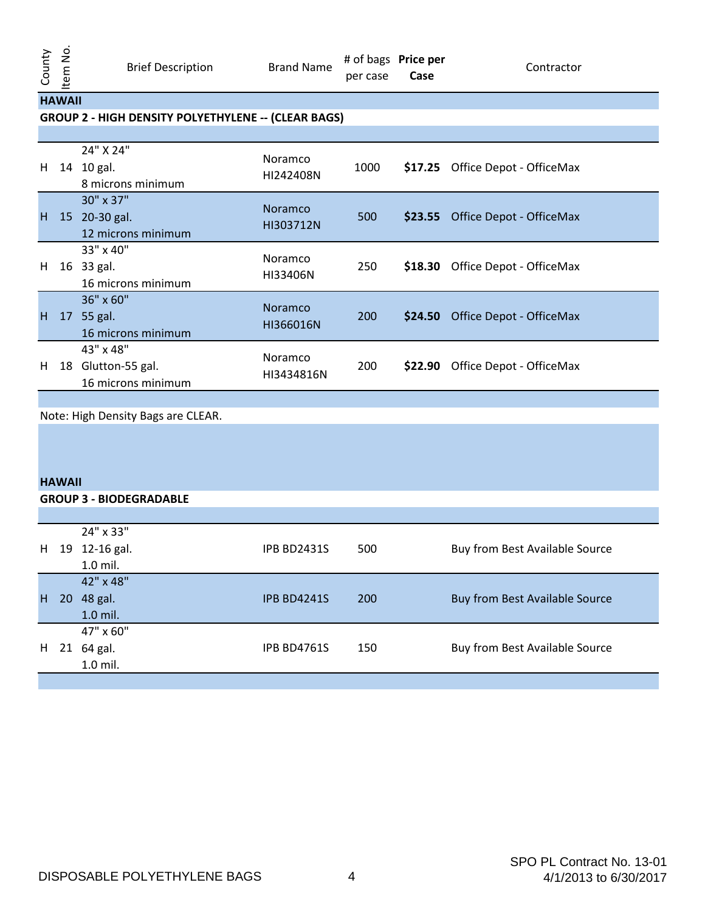## **HAWAII**

#### **GROUP 2 - HIGH DENSITY POLYETHYLENE -- (CLEAR BAGS)**

| H. |    | 24" X 24"<br>14 10 gal.<br>8 microns minimum              | <b>Noramco</b><br>HI242408N | 1000 |         | \$17.25 Office Depot - OfficeMax |
|----|----|-----------------------------------------------------------|-----------------------------|------|---------|----------------------------------|
| H  |    | 30" x 37"<br>15 20-30 gal.<br>12 microns minimum          | <b>Noramco</b><br>HI303712N | 500  |         | \$23.55 Office Depot - OfficeMax |
| H. |    | 33" x 40"<br>16 33 gal.<br>16 microns minimum             | Noramco<br>HI33406N         | 250  |         | \$18.30 Office Depot - OfficeMax |
| H  |    | 36" x 60"<br>17 55 gal.<br>16 microns minimum             | <b>Noramco</b><br>HI366016N | 200  | \$24.50 | Office Depot - OfficeMax         |
| H. | 18 | $43" \times 48"$<br>Glutton-55 gal.<br>16 microns minimum | Noramco<br>HI3434816N       | 200  | \$22.90 | Office Depot - OfficeMax         |

Note: High Density Bags are CLEAR.

#### **HAWAII**

### **GROUP 3 - BIODEGRADABLE** H 19 12-16 gal. 24" x 33" 1.0 mil. IPB BD2431S 500 Buy from Best Available Source H 20 48 gal. 42" x 48" 1.0 mil. IPB BD4241S 200 Buy from Best Available Source H 21 64 gal. 47" x 60" 1.0 mil. IPB BD4761S 150 Buy from Best Available Source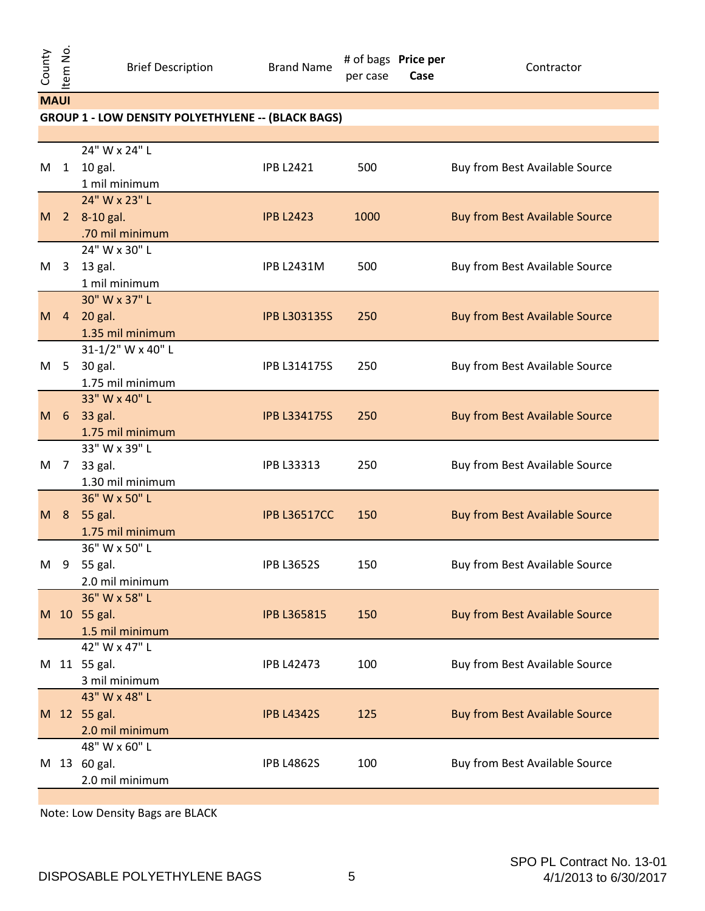|   | <b>MAUI</b>                                               |                                   |                     |      |                                       |  |  |  |
|---|-----------------------------------------------------------|-----------------------------------|---------------------|------|---------------------------------------|--|--|--|
|   | <b>GROUP 1 - LOW DENSITY POLYETHYLENE -- (BLACK BAGS)</b> |                                   |                     |      |                                       |  |  |  |
|   |                                                           |                                   |                     |      |                                       |  |  |  |
|   |                                                           | 24" W x 24" L                     |                     |      |                                       |  |  |  |
| M | 1                                                         | 10 gal.                           | <b>IPB L2421</b>    | 500  | Buy from Best Available Source        |  |  |  |
|   |                                                           | 1 mil minimum                     |                     |      |                                       |  |  |  |
|   |                                                           | 24" W x 23" L                     |                     |      |                                       |  |  |  |
| M |                                                           | 2 8-10 gal.                       | <b>IPB L2423</b>    | 1000 | <b>Buy from Best Available Source</b> |  |  |  |
|   |                                                           | .70 mil minimum                   |                     |      |                                       |  |  |  |
|   |                                                           | 24" W x 30" L                     |                     |      |                                       |  |  |  |
| M | $\mathbf{3}$                                              | 13 gal.                           | <b>IPB L2431M</b>   | 500  | Buy from Best Available Source        |  |  |  |
|   |                                                           | 1 mil minimum                     |                     |      |                                       |  |  |  |
|   |                                                           | 30" W x 37" L                     |                     |      |                                       |  |  |  |
| M | $\overline{4}$                                            | 20 gal.                           | <b>IPB L303135S</b> | 250  | <b>Buy from Best Available Source</b> |  |  |  |
|   |                                                           | 1.35 mil minimum                  |                     |      |                                       |  |  |  |
|   |                                                           | 31-1/2" W x 40" L                 |                     |      |                                       |  |  |  |
| M | 5 <sup>5</sup>                                            | 30 gal.                           | IPB L314175S        | 250  | Buy from Best Available Source        |  |  |  |
|   |                                                           | 1.75 mil minimum                  |                     |      |                                       |  |  |  |
|   |                                                           | 33" W x 40" L                     |                     |      |                                       |  |  |  |
| M | 6 <sup>6</sup>                                            | 33 gal.                           | <b>IPB L334175S</b> | 250  | <b>Buy from Best Available Source</b> |  |  |  |
|   |                                                           | 1.75 mil minimum                  |                     |      |                                       |  |  |  |
|   |                                                           | 33" W x 39" L                     |                     |      |                                       |  |  |  |
| M | $\overline{7}$                                            | 33 gal.                           | IPB L33313          | 250  | Buy from Best Available Source        |  |  |  |
|   |                                                           | 1.30 mil minimum                  |                     |      |                                       |  |  |  |
|   |                                                           | 36" W x 50" L                     |                     |      |                                       |  |  |  |
| M | 8 <sup>8</sup>                                            | 55 gal.                           | <b>IPB L36517CC</b> | 150  | <b>Buy from Best Available Source</b> |  |  |  |
|   |                                                           | 1.75 mil minimum<br>36" W x 50" L |                     |      |                                       |  |  |  |
| M | 9                                                         | 55 gal.                           | <b>IPB L3652S</b>   | 150  | Buy from Best Available Source        |  |  |  |
|   |                                                           | 2.0 mil minimum                   |                     |      |                                       |  |  |  |
|   |                                                           | 36" W x 58" L                     |                     |      |                                       |  |  |  |
|   |                                                           | M 10 55 gal.                      | <b>IPB L365815</b>  | 150  | <b>Buy from Best Available Source</b> |  |  |  |
|   |                                                           | 1.5 mil minimum                   |                     |      |                                       |  |  |  |
|   |                                                           | 42" W x 47" L                     |                     |      |                                       |  |  |  |
| M |                                                           | 11 55 gal.                        | <b>IPB L42473</b>   | 100  | Buy from Best Available Source        |  |  |  |
|   |                                                           | 3 mil minimum                     |                     |      |                                       |  |  |  |
|   |                                                           | 43" W x 48" L                     |                     |      |                                       |  |  |  |
|   |                                                           | M 12 55 gal.                      | <b>IPB L4342S</b>   | 125  | <b>Buy from Best Available Source</b> |  |  |  |
|   |                                                           | 2.0 mil minimum                   |                     |      |                                       |  |  |  |
|   |                                                           | 48" W x 60" L                     |                     |      |                                       |  |  |  |
| M |                                                           | 13 60 gal.                        | <b>IPB L4862S</b>   | 100  | Buy from Best Available Source        |  |  |  |
|   |                                                           | 2.0 mil minimum                   |                     |      |                                       |  |  |  |
|   |                                                           |                                   |                     |      |                                       |  |  |  |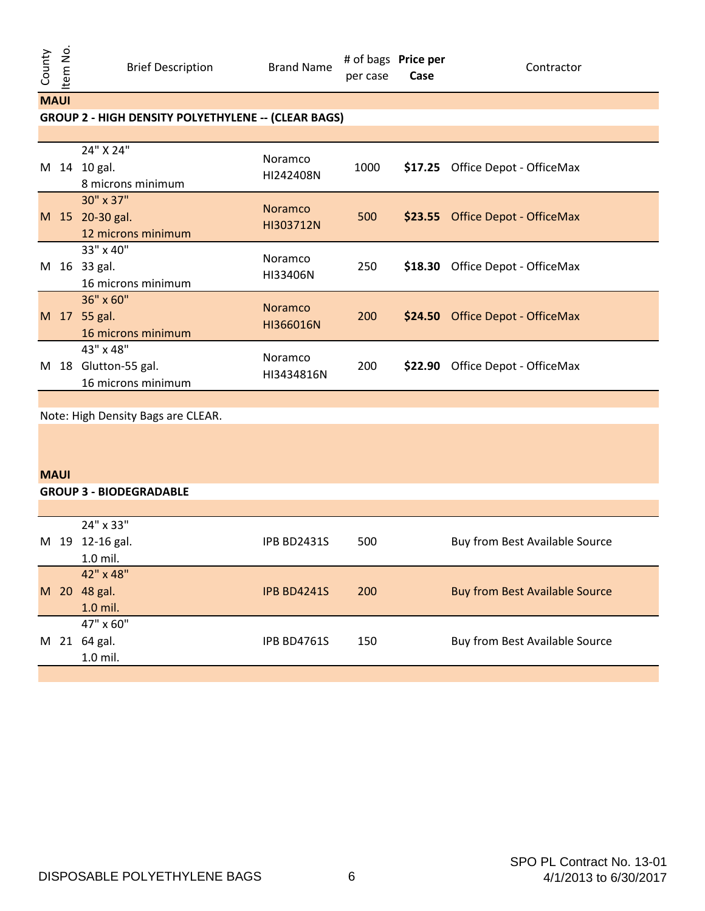**MAUI**

## **GROUP 2 - HIGH DENSITY POLYETHYLENE -- (CLEAR BAGS)**

| M | 14 | 24" X 24"<br>10 gal.<br>8 microns minimum            | Noramco<br>HI242408N        | 1000       |         | \$17.25 Office Depot - OfficeMax |
|---|----|------------------------------------------------------|-----------------------------|------------|---------|----------------------------------|
|   |    | 30" x 37"<br>M 15 20-30 gal.<br>12 microns minimum   | <b>Noramco</b><br>HI303712N | 500        |         | \$23.55 Office Depot - OfficeMax |
| M |    | 33" x 40"<br>16 33 gal.<br>16 microns minimum        | Noramco<br>HI33406N         | 250        |         | \$18.30 Office Depot - OfficeMax |
| M |    | $36" \times 60"$<br>17 55 gal.<br>16 microns minimum | <b>Noramco</b><br>HI366016N | <b>200</b> |         | \$24.50 Office Depot - OfficeMax |
| M | 18 | 43" x 48"<br>Glutton-55 gal.<br>16 microns minimum   | Noramco<br>HI3434816N       | 200        | \$22.90 | Office Depot - OfficeMax         |

Note: High Density Bags are CLEAR.

## **MAUI**

#### **GROUP 3 - BIODEGRADABLE**

|   |  | 24" x 33"       |                    |            |                                       |  |  |
|---|--|-----------------|--------------------|------------|---------------------------------------|--|--|
|   |  | M 19 12-16 gal. | <b>IPB BD2431S</b> | 500        | Buy from Best Available Source        |  |  |
|   |  | 1.0 mil.        |                    |            |                                       |  |  |
|   |  | 42" x 48"       |                    |            |                                       |  |  |
|   |  | M 20 48 gal.    | <b>IPB BD4241S</b> | <b>200</b> | <b>Buy from Best Available Source</b> |  |  |
|   |  | 1.0 mil.        |                    |            |                                       |  |  |
| M |  | 47" x 60"       |                    |            |                                       |  |  |
|   |  | 21 64 gal.      | <b>IPB BD4761S</b> | 150        | Buy from Best Available Source        |  |  |
|   |  | 1.0 mil.        |                    |            |                                       |  |  |
|   |  |                 |                    |            |                                       |  |  |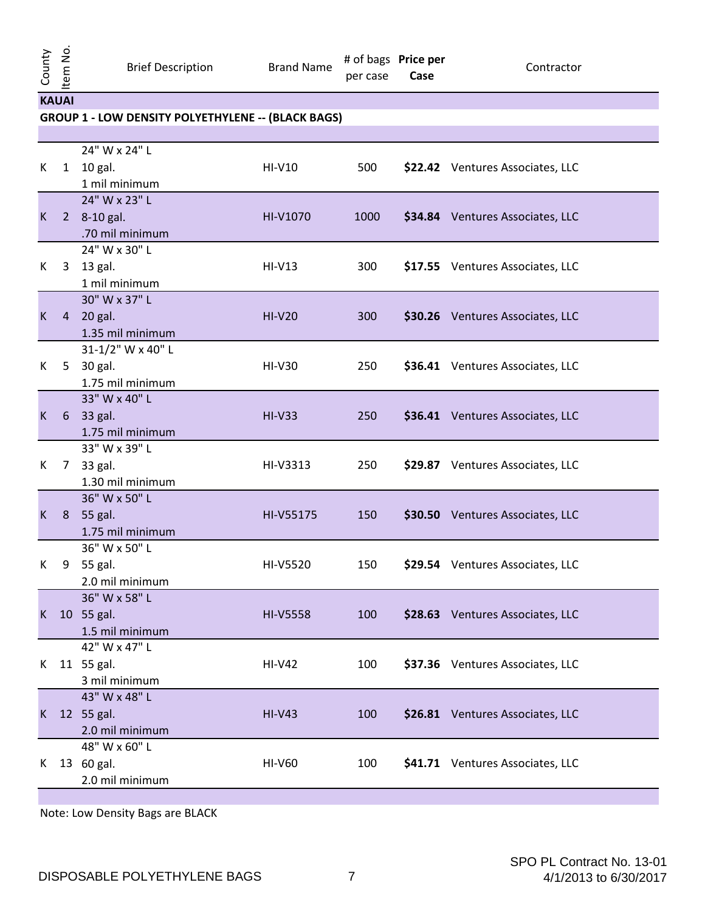Brief Description Brand Name

Contractor

| KAUAI |  |
|-------|--|

## **GROUP 1 - LOW DENSITY POLYETHYLENE -- (BLACK BAGS)**

| К           | 1              | 24" W x 24" L<br>10 gal.<br>1 mil minimum          | HI-V10          | 500  | \$22.42 Ventures Associates, LLC |
|-------------|----------------|----------------------------------------------------|-----------------|------|----------------------------------|
| $\mathsf K$ |                | 24" W x 23" L<br>2 8-10 gal.<br>.70 mil minimum    | HI-V1070        | 1000 | \$34.84 Ventures Associates, LLC |
| К           | $\mathbf{3}$   | 24" W x 30" L<br>13 gal.<br>1 mil minimum          | $HI-V13$        | 300  | \$17.55 Ventures Associates, LLC |
| K           |                | 30" W x 37" L<br>4 20 gal.<br>1.35 mil minimum     | $HI-V20$        | 300  | \$30.26 Ventures Associates, LLC |
| K           |                | 31-1/2" W x 40" L<br>5 30 gal.<br>1.75 mil minimum | <b>HI-V30</b>   | 250  | \$36.41 Ventures Associates, LLC |
| K           |                | 33" W x 40" L<br>6 33 gal.<br>1.75 mil minimum     | $HI-V33$        | 250  | \$36.41 Ventures Associates, LLC |
| K           | 7 <sup>7</sup> | 33" W x 39" L<br>33 gal.<br>1.30 mil minimum       | HI-V3313        | 250  | \$29.87 Ventures Associates, LLC |
| $\mathsf K$ | 8              | 36" W x 50" L<br>55 gal.<br>1.75 mil minimum       | HI-V55175       | 150  | \$30.50 Ventures Associates, LLC |
| K           | 9              | 36" W x 50" L<br>55 gal.<br>2.0 mil minimum        | HI-V5520        | 150  | \$29.54 Ventures Associates, LLC |
| K.          |                | 36" W x 58" L<br>10 55 gal.<br>1.5 mil minimum     | <b>HI-V5558</b> | 100  | \$28.63 Ventures Associates, LLC |
| K           |                | 42" W x 47" L<br>11 55 gal.<br>3 mil minimum       | <b>HI-V42</b>   | 100  | \$37.36 Ventures Associates, LLC |
| K           |                | 43" W x 48" L<br>12 55 gal.<br>2.0 mil minimum     | $HI-V43$        | 100  | \$26.81 Ventures Associates, LLC |
| K           |                | 48" W x 60" L<br>13 60 gal.<br>2.0 mil minimum     | <b>HI-V60</b>   | 100  | \$41.71 Ventures Associates, LLC |
|             |                |                                                    |                 |      |                                  |